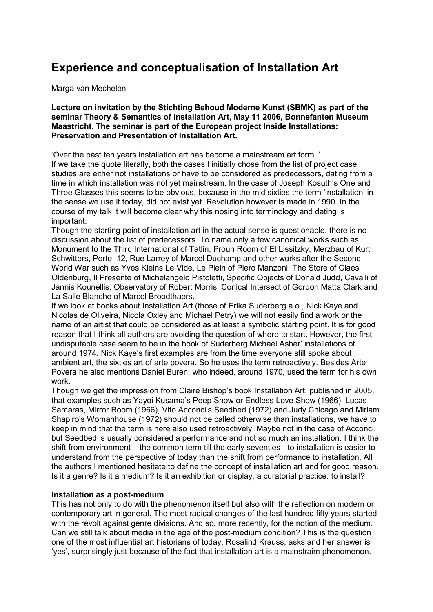# Experience and conceptualisation of Installation Art

Marga van Mechelen

Lecture on invitation by the Stichting Behoud Moderne Kunst (SBMK) as part of the seminar Theory & Semantics of Installation Art, May 11 2006, Bonnefanten Museum Maastricht. The seminar is part of the European project Inside Installations: Preservation and Presentation of Installation Art.

'Over the past ten years installation art has become a mainstream art form..'

If we take the quote literally, both the cases I initially chose from the list of project case studies are either not installations or have to be considered as predecessors, dating from a time in which installation was not yet mainstream. In the case of Joseph Kosuth's One and Three Glasses this seems to be obvious, because in the mid sixties the term 'installation' in the sense we use it today, did not exist yet. Revolution however is made in 1990. In the course of my talk it will become clear why this nosing into terminology and dating is important.

Though the starting point of installation art in the actual sense is questionable, there is no discussion about the list of predecessors. To name only a few canonical works such as Monument to the Third International of Tatlin, Proun Room of El Lissitzky, Merzbau of Kurt Schwitters, Porte, 12, Rue Larrey of Marcel Duchamp and other works after the Second World War such as Yves Kleins Le Vide, Le Plein of Piero Manzoni, The Store of Claes Oldenburg, Il Presente of Michelangelo Pistoletti, Specific Objects of Donald Judd, Cavalli of Jannis Kounellis, Observatory of Robert Morris, Conical Intersect of Gordon Matta Clark and La Salle Blanche of Marcel Broodthaers.

If we look at books about Installation Art (those of Erika Suderberg a.o., Nick Kaye and Nicolas de Oliveira, Nicola Oxley and Michael Petry) we will not easily find a work or the name of an artist that could be considered as at least a symbolic starting point. It is for good reason that I think all authors are avoiding the question of where to start. However, the first undisputable case seem to be in the book of Suderberg Michael Asher' installations of around 1974. Nick Kaye's first examples are from the time everyone still spoke about ambient art, the sixties art of arte povera. So he uses the term retroactively. Besides Arte Povera he also mentions Daniel Buren, who indeed, around 1970, used the term for his own work.

Though we get the impression from Claire Bishop's book Installation Art, published in 2005, that examples such as Yayoi Kusama's Peep Show or Endless Love Show (1966), Lucas Samaras, Mirror Room (1966), Vito Acconci's Seedbed (1972) and Judy Chicago and Miriam Shapiro's Womanhouse (1972) should not be called otherwise than installations, we have to keep in mind that the term is here also used retroactively. Maybe not in the case of Acconci, but Seedbed is usually considered a performance and not so much an installation. I think the shift from environment – the common term till the early seventies - to installation is easier to understand from the perspective of today than the shift from performance to installation. All the authors I mentioned hesitate to define the concept of installation art and for good reason. Is it a genre? Is it a medium? Is it an exhibition or display, a curatorial practice: to install?

# Installation as a post-medium

This has not only to do with the phenomenon itself but also with the reflection on modern or contemporary art in general. The most radical changes of the last hundred fifty years started with the revolt against genre divisions. And so, more recently, for the notion of the medium. Can we still talk about media in the age of the post-medium condition? This is the question one of the most influential art historians of today, Rosalind Krauss, asks and her answer is 'yes', surprisingly just because of the fact that installation art is a mainstraim phenomenon.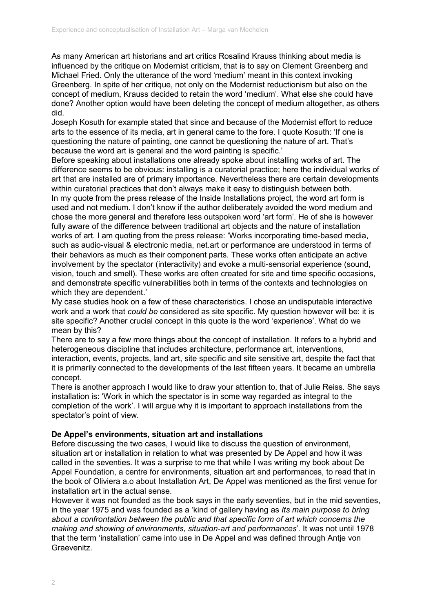As many American art historians and art critics Rosalind Krauss thinking about media is influenced by the critique on Modernist criticism, that is to say on Clement Greenberg and Michael Fried. Only the utterance of the word 'medium' meant in this context invoking Greenberg. In spite of her critique, not only on the Modernist reductionism but also on the concept of medium, Krauss decided to retain the word 'medium'. What else she could have done? Another option would have been deleting the concept of medium altogether, as others did.

Joseph Kosuth for example stated that since and because of the Modernist effort to reduce arts to the essence of its media, art in general came to the fore. I quote Kosuth: 'If one is questioning the nature of painting, one cannot be questioning the nature of art. That's because the word art is general and the word painting is specific.'

Before speaking about installations one already spoke about installing works of art. The difference seems to be obvious: installing is a curatorial practice; here the individual works of art that are installed are of primary importance. Nevertheless there are certain developments within curatorial practices that don't always make it easy to distinguish between both. In my quote from the press release of the Inside Installations project, the word art form is used and not medium. I don't know if the author deliberately avoided the word medium and chose the more general and therefore less outspoken word 'art form'. He of she is however fully aware of the difference between traditional art objects and the nature of installation works of art. I am quoting from the press release: 'Works incorporating time-based media, such as audio-visual & electronic media, net.art or performance are understood in terms of their behaviors as much as their component parts. These works often anticipate an active involvement by the spectator (interactivity) and evoke a multi-sensorial experience (sound, vision, touch and smell). These works are often created for site and time specific occasions, and demonstrate specific vulnerabilities both in terms of the contexts and technologies on which they are dependent.'

My case studies hook on a few of these characteristics. I chose an undisputable interactive work and a work that could be considered as site specific. My question however will be: it is site specific? Another crucial concept in this quote is the word 'experience'. What do we mean by this?

There are to say a few more things about the concept of installation. It refers to a hybrid and heterogeneous discipline that includes architecture, performance art, interventions, interaction, events, projects, land art, site specific and site sensitive art, despite the fact that it is primarily connected to the developments of the last fifteen years. It became an umbrella concept.

There is another approach I would like to draw your attention to, that of Julie Reiss. She says installation is: 'Work in which the spectator is in some way regarded as integral to the completion of the work'. I will argue why it is important to approach installations from the spectator's point of view.

# De Appel's environments, situation art and installations

Before discussing the two cases, I would like to discuss the question of environment, situation art or installation in relation to what was presented by De Appel and how it was called in the seventies. It was a surprise to me that while I was writing my book about De Appel Foundation, a centre for environments, situation art and performances, to read that in the book of Oliviera a.o about Installation Art, De Appel was mentioned as the first venue for installation art in the actual sense.

However it was not founded as the book says in the early seventies, but in the mid seventies, in the year 1975 and was founded as a 'kind of gallery having as Its main purpose to bring about a confrontation between the public and that specific form of art which concerns the making and showing of environments, situation-art and performances'. It was not until 1978 that the term 'installation' came into use in De Appel and was defined through Antje von Graevenitz.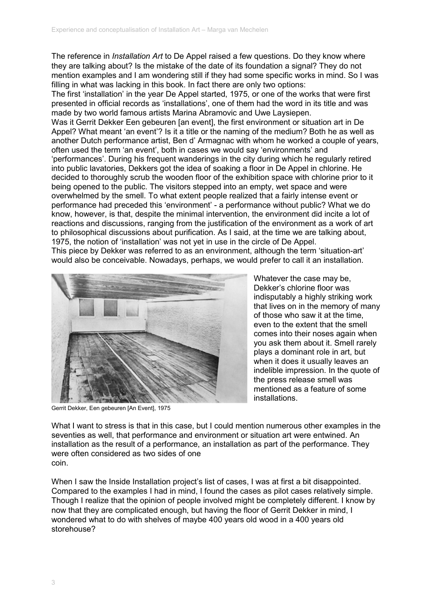The reference in *Installation Art* to De Appel raised a few questions. Do they know where they are talking about? Is the mistake of the date of its foundation a signal? They do not mention examples and I am wondering still if they had some specific works in mind. So I was filling in what was lacking in this book. In fact there are only two options:

The first 'installation' in the year De Appel started, 1975, or one of the works that were first presented in official records as 'installations', one of them had the word in its title and was made by two world famous artists Marina Abramovic and Uwe Laysiepen.

Was it Gerrit Dekker Een gebeuren [an event], the first environment or situation art in De Appel? What meant 'an event'? Is it a title or the naming of the medium? Both he as well as another Dutch performance artist, Ben d' Armagnac with whom he worked a couple of years, often used the term 'an event', both in cases we would say 'environments' and 'performances'. During his frequent wanderings in the city during which he regularly retired into public lavatories, Dekkers got the idea of soaking a floor in De Appel in chlorine. He decided to thoroughly scrub the wooden floor of the exhibition space with chlorine prior to it being opened to the public. The visitors stepped into an empty, wet space and were overwhelmed by the smell. To what extent people realized that a fairly intense event or performance had preceded this 'environment' - a performance without public? What we do know, however, is that, despite the minimal intervention, the environment did incite a lot of reactions and discussions, ranging from the justification of the environment as a work of art to philosophical discussions about purification. As I said, at the time we are talking about, 1975, the notion of 'installation' was not yet in use in the circle of De Appel. This piece by Dekker was referred to as an environment, although the term 'situation-art' would also be conceivable. Nowadays, perhaps, we would prefer to call it an installation.



Gerrit Dekker, Een gebeuren [An Event], 1975

Whatever the case may be, Dekker's chlorine floor was indisputably a highly striking work that lives on in the memory of many of those who saw it at the time, even to the extent that the smell comes into their noses again when you ask them about it. Smell rarely plays a dominant role in art, but when it does it usually leaves an indelible impression. In the quote of the press release smell was mentioned as a feature of some installations.

What I want to stress is that in this case, but I could mention numerous other examples in the seventies as well, that performance and environment or situation art were entwined. An installation as the result of a performance, an installation as part of the performance. They were often considered as two sides of one coin.

When I saw the Inside Installation project's list of cases, I was at first a bit disappointed. Compared to the examples I had in mind, I found the cases as pilot cases relatively simple. Though I realize that the opinion of people involved might be completely different. I know by now that they are complicated enough, but having the floor of Gerrit Dekker in mind, I wondered what to do with shelves of maybe 400 years old wood in a 400 years old storehouse?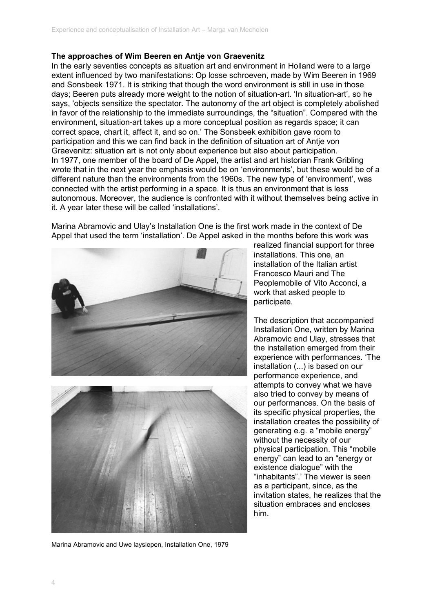# The approaches of Wim Beeren en Antje von Graevenitz

In the early seventies concepts as situation art and environment in Holland were to a large extent influenced by two manifestations: Op losse schroeven, made by Wim Beeren in 1969 and Sonsbeek 1971. It is striking that though the word environment is still in use in those days; Beeren puts already more weight to the notion of situation-art. 'In situation-art', so he says, 'objects sensitize the spectator. The autonomy of the art object is completely abolished in favor of the relationship to the immediate surroundings, the "situation". Compared with the environment, situation-art takes up a more conceptual position as regards space; it can correct space, chart it, affect it, and so on.' The Sonsbeek exhibition gave room to participation and this we can find back in the definition of situation art of Antje von Graevenitz: situation art is not only about experience but also about participation. In 1977, one member of the board of De Appel, the artist and art historian Frank Gribling wrote that in the next year the emphasis would be on 'environments', but these would be of a different nature than the environments from the 1960s. The new type of 'environment', was connected with the artist performing in a space. It is thus an environment that is less autonomous. Moreover, the audience is confronted with it without themselves being active in it. A year later these will be called 'installations'.

Marina Abramovic and Ulay's Installation One is the first work made in the context of De Appel that used the term 'installation'. De Appel asked in the months before this work was





realized financial support for three installations. This one, an installation of the Italian artist Francesco Mauri and The Peoplemobile of Vito Acconci, a work that asked people to participate.

The description that accompanied Installation One, written by Marina Abramovic and Ulay, stresses that the installation emerged from their experience with performances. 'The installation (...) is based on our performance experience, and attempts to convey what we have also tried to convey by means of our performances. On the basis of its specific physical properties, the installation creates the possibility of generating e.g. a "mobile energy" without the necessity of our physical participation. This "mobile energy" can lead to an "energy or existence dialogue" with the "inhabitants".' The viewer is seen as a participant, since, as the invitation states, he realizes that the situation embraces and encloses him.

Marina Abramovic and Uwe laysiepen, Installation One, 1979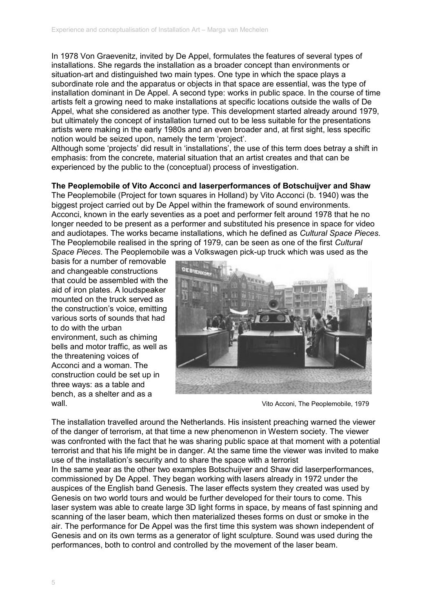In 1978 Von Graevenitz, invited by De Appel, formulates the features of several types of installations. She regards the installation as a broader concept than environments or situation-art and distinguished two main types. One type in which the space plays a subordinate role and the apparatus or objects in that space are essential, was the type of installation dominant in De Appel. A second type: works in public space. In the course of time artists felt a growing need to make installations at specific locations outside the walls of De Appel, what she considered as another type. This development started already around 1979, but ultimately the concept of installation turned out to be less suitable for the presentations artists were making in the early 1980s and an even broader and, at first sight, less specific notion would be seized upon, namely the term 'project'.

Although some 'projects' did result in 'installations', the use of this term does betray a shift in emphasis: from the concrete, material situation that an artist creates and that can be experienced by the public to the (conceptual) process of investigation.

The Peoplemobile of Vito Acconci and laserperformances of Botschuijver and Shaw The Peoplemobile (Project for town squares in Holland) by Vito Acconci (b. 1940) was the biggest project carried out by De Appel within the framework of sound environments. Acconci, known in the early seventies as a poet and performer felt around 1978 that he no longer needed to be present as a performer and substituted his presence in space for video and audiotapes. The works became installations, which he defined as Cultural Space Pieces. The Peoplemobile realised in the spring of 1979, can be seen as one of the first Cultural Space Pieces. The Peoplemobile was a Volkswagen pick-up truck which was used as the

basis for a number of removable and changeable constructions that could be assembled with the aid of iron plates. A loudspeaker mounted on the truck served as the construction's voice, emitting various sorts of sounds that had to do with the urban environment, such as chiming bells and motor traffic, as well as the threatening voices of Acconci and a woman. The construction could be set up in three ways: as a table and bench, as a shelter and as a wall. **Wall** wall are the proportion of the Vito Acconi, The Peoplemobile, 1979



The installation travelled around the Netherlands. His insistent preaching warned the viewer of the danger of terrorism, at that time a new phenomenon in Western society. The viewer was confronted with the fact that he was sharing public space at that moment with a potential terrorist and that his life might be in danger. At the same time the viewer was invited to make use of the installation's security and to share the space with a terrorist

In the same year as the other two examples Botschuijver and Shaw did laserperformances, commissioned by De Appel. They began working with lasers already in 1972 under the auspices of the English band Genesis. The laser effects system they created was used by Genesis on two world tours and would be further developed for their tours to come. This laser system was able to create large 3D light forms in space, by means of fast spinning and scanning of the laser beam, which then materialized theses forms on dust or smoke in the air. The performance for De Appel was the first time this system was shown independent of Genesis and on its own terms as a generator of light sculpture. Sound was used during the performances, both to control and controlled by the movement of the laser beam.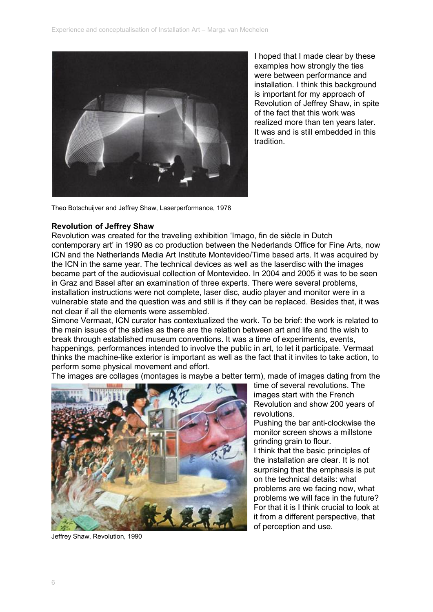

I hoped that I made clear by these examples how strongly the ties were between performance and installation. I think this background is important for my approach of Revolution of Jeffrey Shaw, in spite of the fact that this work was realized more than ten years later. It was and is still embedded in this tradition.

Theo Botschuijver and Jeffrey Shaw, Laserperformance, 1978

#### Revolution of Jeffrey Shaw

Revolution was created for the traveling exhibition 'Imago, fin de siècle in Dutch contemporary art' in 1990 as co production between the Nederlands Office for Fine Arts, now ICN and the Netherlands Media Art Institute Montevideo/Time based arts. It was acquired by the ICN in the same year. The technical devices as well as the laserdisc with the images became part of the audiovisual collection of Montevideo. In 2004 and 2005 it was to be seen in Graz and Basel after an examination of three experts. There were several problems, installation instructions were not complete, laser disc, audio player and monitor were in a vulnerable state and the question was and still is if they can be replaced. Besides that, it was not clear if all the elements were assembled.

Simone Vermaat, ICN curator has contextualized the work. To be brief: the work is related to the main issues of the sixties as there are the relation between art and life and the wish to break through established museum conventions. It was a time of experiments, events, happenings, performances intended to involve the public in art, to let it participate. Vermaat thinks the machine-like exterior is important as well as the fact that it invites to take action, to perform some physical movement and effort.

The images are collages (montages is maybe a better term), made of images dating from the



Jeffrey Shaw, Revolution, 1990

time of several revolutions. The images start with the French Revolution and show 200 years of revolutions.

Pushing the bar anti-clockwise the monitor screen shows a millstone grinding grain to flour.

I think that the basic principles of the installation are clear. It is not surprising that the emphasis is put on the technical details: what problems are we facing now, what problems we will face in the future? For that it is I think crucial to look at it from a different perspective, that of perception and use.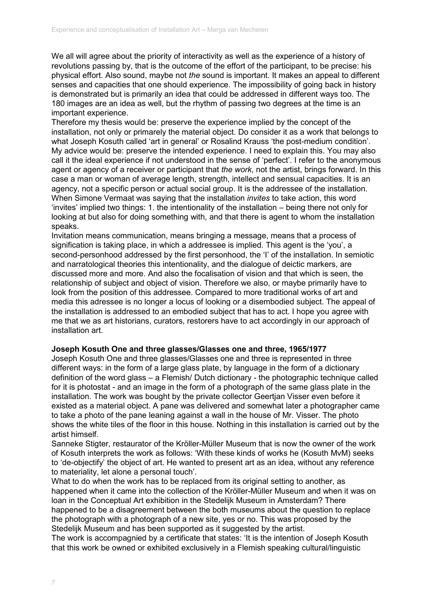We all will agree about the priority of interactivity as well as the experience of a history of revolutions passing by, that is the outcome of the effort of the participant, to be precise: his physical effort. Also sound, maybe not the sound is important. It makes an appeal to different senses and capacities that one should experience. The impossibility of going back in history is demonstrated but is primarily an idea that could be addressed in different ways too. The 180 images are an idea as well, but the rhythm of passing two degrees at the time is an important experience.

Therefore my thesis would be: preserve the experience implied by the concept of the installation, not only or primarely the material object. Do consider it as a work that belongs to what Joseph Kosuth called 'art in general' or Rosalind Krauss 'the post-medium condition'. My advice would be: preserve the intended experience. I need to explain this. You may also call it the ideal experience if not understood in the sense of 'perfect'. I refer to the anonymous agent or agency of a receiver or participant that the work, not the artist, brings forward. In this case a man or woman of average length, strength, intellect and sensual capacities. It is an agency, not a specific person or actual social group. It is the addressee of the installation. When Simone Vermaat was saying that the installation *invites* to take action, this word 'invites' implied two things: 1. the intentionality of the installation – being there not only for looking at but also for doing something with, and that there is agent to whom the installation speaks.

Invitation means communication, means bringing a message, means that a process of signification is taking place, in which a addressee is implied. This agent is the 'you', a second-personhood addressed by the first personhood, the 'I' of the installation. In semiotic and narratological theories this intentionality, and the dialogue of deictic markers, are discussed more and more. And also the focalisation of vision and that which is seen, the relationship of subject and object of vision. Therefore we also, or maybe primarily have to look from the position of this addressee. Compared to more traditional works of art and media this adressee is no longer a locus of looking or a disembodied subject. The appeal of the installation is addressed to an embodied subject that has to act. I hope you agree with me that we as art historians, curators, restorers have to act accordingly in our approach of installation art.

# Joseph Kosuth One and three glasses/Glasses one and three, 1965/1977

Joseph Kosuth One and three glasses/Glasses one and three is represented in three different ways: in the form of a large glass plate, by language in the form of a dictionary definition of the word glass – a Flemish/ Dutch dictionary - the photographic technique called for it is photostat - and an image in the form of a photograph of the same glass plate in the installation. The work was bought by the private collector Geertjan Visser even before it existed as a material object. A pane was delivered and somewhat later a photographer came to take a photo of the pane leaning against a wall in the house of Mr. Visser. The photo shows the white tiles of the floor in this house. Nothing in this installation is carried out by the artist himself.

Sanneke Stigter, restaurator of the Kröller-Müller Museum that is now the owner of the work of Kosuth interprets the work as follows: 'With these kinds of works he (Kosuth MvM) seeks to 'de-objectify' the object of art. He wanted to present art as an idea, without any reference to materiality, let alone a personal touch'.

What to do when the work has to be replaced from its original setting to another, as happened when it came into the collection of the Kröller-Müller Museum and when it was on loan in the Conceptual Art exhibition in the Stedelijk Museum in Amsterdam? There happened to be a disagreement between the both museums about the question to replace the photograph with a photograph of a new site, yes or no. This was proposed by the Stedelijk Museum and has been supported as it suggested by the artist.

The work is accompagnied by a certificate that states: 'It is the intention of Joseph Kosuth that this work be owned or exhibited exclusively in a Flemish speaking cultural/linguistic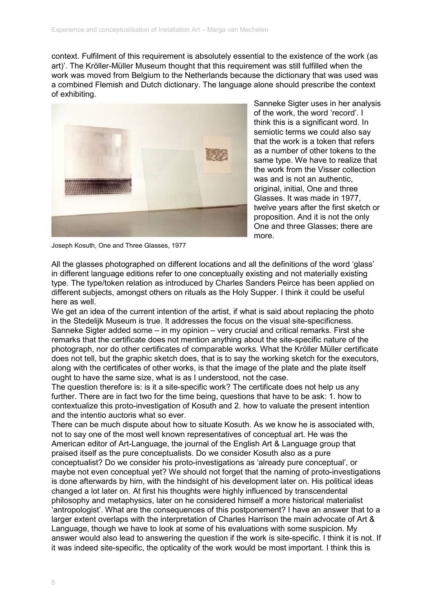context. Fulfilment of this requirement is absolutely essential to the existence of the work (as art)'. The Kröller-Müller Museum thought that this requirement was still fulfilled when the work was moved from Belgium to the Netherlands because the dictionary that was used was a combined Flemish and Dutch dictionary. The language alone should prescribe the context of exhibiting.



Sanneke Sigter uses in her analysis of the work, the word 'record'. I think this is a significant word. In semiotic terms we could also say that the work is a token that refers as a number of other tokens to the same type. We have to realize that the work from the Visser collection was and is not an authentic, original, initial, One and three Glasses. It was made in 1977, twelve years after the first sketch or proposition. And it is not the only One and three Glasses; there are more.

Joseph Kosuth, One and Three Glasses, 1977

All the glasses photographed on different locations and all the definitions of the word 'glass' in different language editions refer to one conceptually existing and not materially existing type. The type/token relation as introduced by Charles Sanders Peirce has been applied on different subjects, amongst others on rituals as the Holy Supper. I think it could be useful here as well.

We get an idea of the current intention of the artist, if what is said about replacing the photo in the Stedelijk Museum is true. It addresses the focus on the visual site-specificness. Sanneke Sigter added some – in my opinion – very crucial and critical remarks. First she remarks that the certificate does not mention anything about the site-specific nature of the photograph, nor do other certificates of comparable works. What the Kröller Müller certificate does not tell, but the graphic sketch does, that is to say the working sketch for the executors, along with the certificates of other works, is that the image of the plate and the plate itself ought to have the same size, what is as I understood, not the case.

The question therefore is: is it a site-specific work? The certificate does not help us any further. There are in fact two for the time being, questions that have to be ask: 1. how to contextualize this proto-investigation of Kosuth and 2. how to valuate the present intention and the intentio auctoris what so ever.

There can be much dispute about how to situate Kosuth. As we know he is associated with, not to say one of the most well known representatives of conceptual art. He was the American editor of Art-Language, the journal of the English Art & Language group that praised itself as the pure conceptualists. Do we consider Kosuth also as a pure conceptualist? Do we consider his proto-investigations as 'already pure conceptual', or maybe not even conceptual yet? We should not forget that the naming of proto-investigations is done afterwards by him, with the hindsight of his development later on. His political ideas changed a lot later on. At first his thoughts were highly influenced by transcendental philosophy and metaphysics, later on he considered himself a more historical materialist 'antropologist'. What are the consequences of this postponement? I have an answer that to a larger extent overlaps with the interpretation of Charles Harrison the main advocate of Art & Language, though we have to look at some of his evaluations with some suspicion. My answer would also lead to answering the question if the work is site-specific. I think it is not. If it was indeed site-specific, the opticality of the work would be most important. I think this is